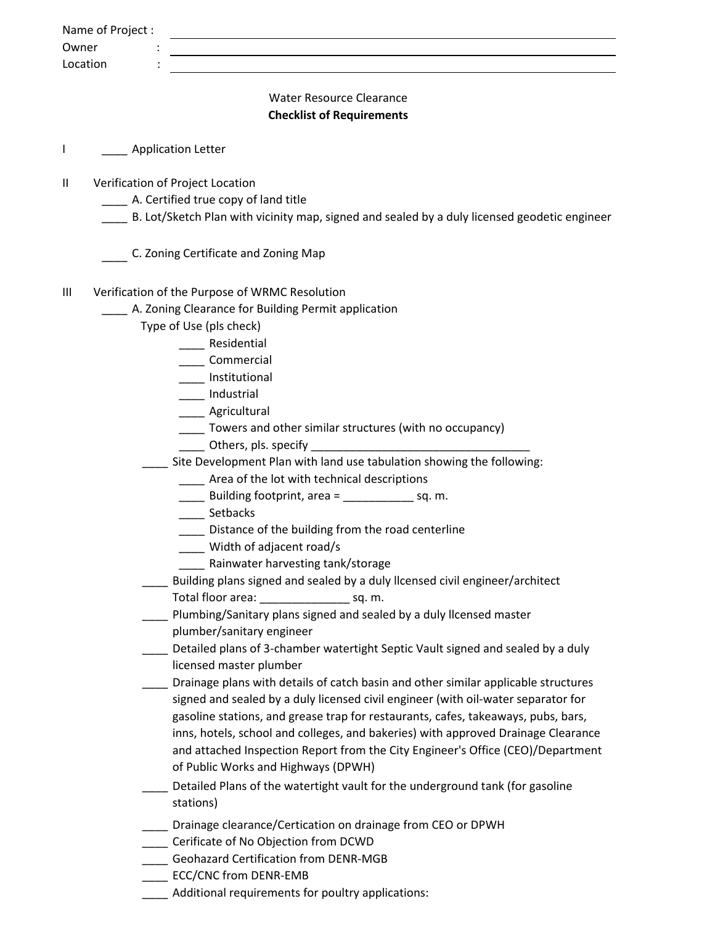| Owner | Name of Project:                                                                                                  |  |
|-------|-------------------------------------------------------------------------------------------------------------------|--|
|       | Location                                                                                                          |  |
|       |                                                                                                                   |  |
|       | <b>Water Resource Clearance</b>                                                                                   |  |
|       | <b>Checklist of Requirements</b>                                                                                  |  |
| I     | <b>Example 2 Application Letter</b>                                                                               |  |
| Ш     | Verification of Project Location                                                                                  |  |
|       | A. Certified true copy of land title                                                                              |  |
|       | B. Lot/Sketch Plan with vicinity map, signed and sealed by a duly licensed geodetic engineer                      |  |
|       | C. Zoning Certificate and Zoning Map                                                                              |  |
| Ш     | Verification of the Purpose of WRMC Resolution                                                                    |  |
|       | A. Zoning Clearance for Building Permit application                                                               |  |
|       | Type of Use (pls check)                                                                                           |  |
|       | Residential                                                                                                       |  |
|       | Commercial                                                                                                        |  |
|       | Institutional                                                                                                     |  |
|       | ____ Industrial                                                                                                   |  |
|       | _____ Agricultural                                                                                                |  |
|       | ___ Towers and other similar structures (with no occupancy)                                                       |  |
|       |                                                                                                                   |  |
|       | Site Development Plan with land use tabulation showing the following:                                             |  |
|       | ____ Area of the lot with technical descriptions                                                                  |  |
|       | ___ Building footprint, area = ______________ sq. m.                                                              |  |
|       | ____ Setbacks                                                                                                     |  |
|       | ____ Distance of the building from the road centerline                                                            |  |
|       | Width of adjacent road/s                                                                                          |  |
|       | Rainwater harvesting tank/storage<br>Building plans signed and sealed by a duly Ilcensed civil engineer/architect |  |
|       | Total floor area: sq. m.                                                                                          |  |
|       | Plumbing/Sanitary plans signed and sealed by a duly Ilcensed master                                               |  |
|       | plumber/sanitary engineer                                                                                         |  |
|       | Detailed plans of 3-chamber watertight Septic Vault signed and sealed by a duly                                   |  |
|       | licensed master plumber                                                                                           |  |
|       | Drainage plans with details of catch basin and other similar applicable structures                                |  |
|       | signed and sealed by a duly licensed civil engineer (with oil-water separator for                                 |  |
|       | gasoline stations, and grease trap for restaurants, cafes, takeaways, pubs, bars,                                 |  |
|       | inns, hotels, school and colleges, and bakeries) with approved Drainage Clearance                                 |  |
|       | and attached Inspection Report from the City Engineer's Office (CEO)/Department                                   |  |
|       | of Public Works and Highways (DPWH)                                                                               |  |
|       | Detailed Plans of the watertight vault for the underground tank (for gasoline                                     |  |
|       | stations)                                                                                                         |  |
|       | Drainage clearance/Certication on drainage from CEO or DPWH                                                       |  |
|       | Cerificate of No Objection from DCWD                                                                              |  |
|       | <b>Geohazard Certification from DENR-MGB</b>                                                                      |  |
|       | ECC/CNC from DENR-EMB                                                                                             |  |
|       | Additional requirements for poultry applications:                                                                 |  |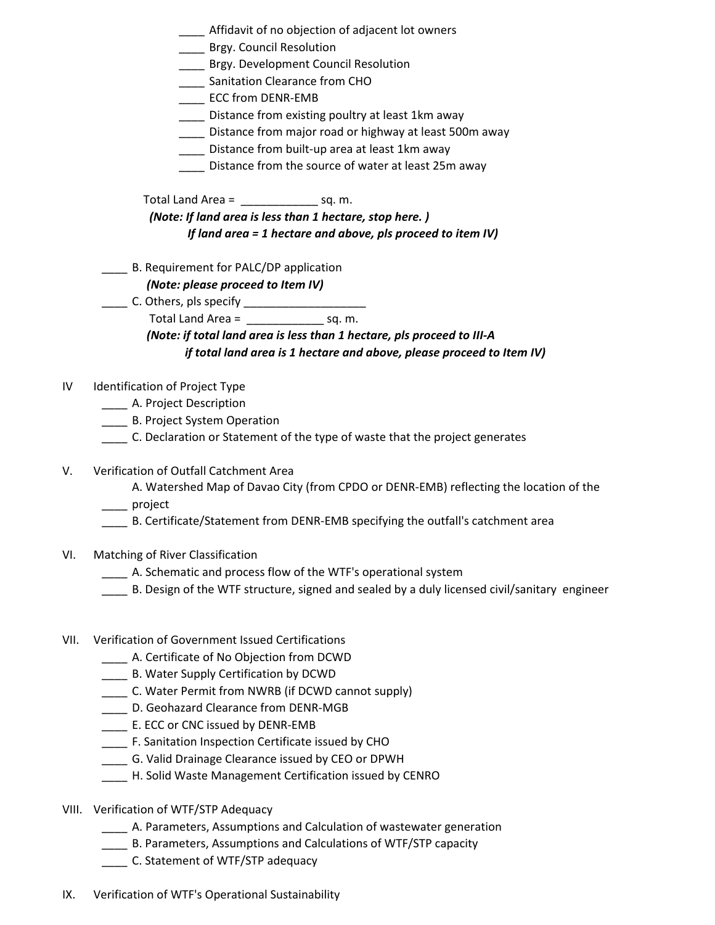|      | ___ Affidavit of no objection of adjacent lot owners<br>___ Brgy. Council Resolution<br>Brgy. Development Council Resolution<br>____ Sanitation Clearance from CHO<br><b>ECC from DENR-EMB</b><br>____ Distance from existing poultry at least 1km away<br>____ Distance from major road or highway at least 500m away<br>____ Distance from built-up area at least 1km away<br>Distance from the source of water at least 25m away |
|------|-------------------------------------------------------------------------------------------------------------------------------------------------------------------------------------------------------------------------------------------------------------------------------------------------------------------------------------------------------------------------------------------------------------------------------------|
|      | Total Land Area = $\frac{1}{2}$ sq. m.                                                                                                                                                                                                                                                                                                                                                                                              |
|      | (Note: If land area is less than 1 hectare, stop here.)                                                                                                                                                                                                                                                                                                                                                                             |
|      | If land area $= 1$ hectare and above, pls proceed to item IV)                                                                                                                                                                                                                                                                                                                                                                       |
|      | B. Requirement for PALC/DP application<br>(Note: please proceed to Item IV)<br>Total Land Area = $\frac{1}{2}$ sq. m.<br>(Note: if total land area is less than 1 hectare, pls proceed to III-A<br>if total land area is 1 hectare and above, please proceed to Item IV)                                                                                                                                                            |
| I۷   | Identification of Project Type<br>______ A. Project Description<br>____ B. Project System Operation<br>______ C. Declaration or Statement of the type of waste that the project generates                                                                                                                                                                                                                                           |
| V.   | Verification of Outfall Catchment Area<br>A. Watershed Map of Davao City (from CPDO or DENR-EMB) reflecting the location of the<br>____ project<br>B. Certificate/Statement from DENR-EMB specifying the outfall's catchment area                                                                                                                                                                                                   |
| VI.  | Matching of River Classification<br>A. Schematic and process flow of the WTF's operational system<br>B. Design of the WTF structure, signed and sealed by a duly licensed civil/sanitary engineer                                                                                                                                                                                                                                   |
| VII. | Verification of Government Issued Certifications<br>A. Certificate of No Objection from DCWD<br>B. Water Supply Certification by DCWD<br>___ C. Water Permit from NWRB (if DCWD cannot supply)<br>D. Geohazard Clearance from DENR-MGB<br>____ E. ECC or CNC issued by DENR-EMB<br>F. Sanitation Inspection Certificate issued by CHO<br>G. Valid Drainage Clearance issued by CEO or DPWH                                          |

- \_\_\_\_ H. Solid Waste Management Certification issued by CENRO
- VIII. Verification of WTF/STP Adequacy
	- \_\_\_\_ A. Parameters, Assumptions and Calculation of wastewater generation
	- \_\_\_\_ B. Parameters, Assumptions and Calculations of WTF/STP capacity
	- \_\_\_\_ C. Statement of WTF/STP adequacy
- IX. Verification of WTF's Operational Sustainability